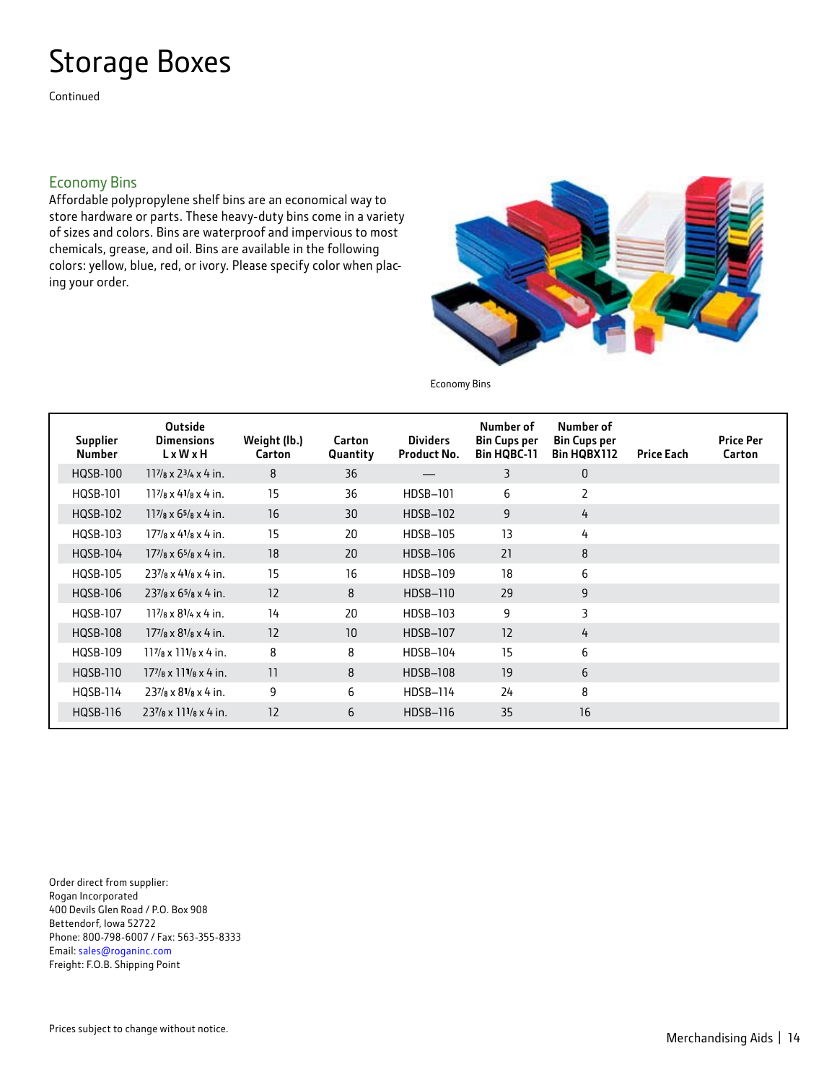# Storage Boxes

Continued

### Economy Bins

Affordable polypropylene shelf bins are an economical way to store hardware or parts. These heavy-duty bins come in a variety of sizes and colors. Bins are waterproof and impervious to most chemicals, grease, and oil. Bins are available in the following colors: yellow, blue, red, or ivory. Please specify color when placing your order.



Economy Bins

| <b>Supplier</b><br><b>Number</b> | <b>Outside</b><br><b>Dimensions</b><br>LxWxH                   | Weight (lb.)<br>Carton | Carton<br>Quantity | <b>Dividers</b><br><b>Product No.</b> | Number of<br><b>Bin Cups per</b><br><b>Bin HQBC-11</b> | Number of<br><b>Bin Cups per</b><br>Bin HQBX112 | <b>Price Each</b> | <b>Price Per</b><br>Carton |
|----------------------------------|----------------------------------------------------------------|------------------------|--------------------|---------------------------------------|--------------------------------------------------------|-------------------------------------------------|-------------------|----------------------------|
| <b>HOSB-100</b>                  | $117/a \times 23/4 \times 4$ in.                               | 8                      | 36                 |                                       | 3                                                      | $\mathbf{0}$                                    |                   |                            |
| HQSB-101                         | $11^{7}/8 \times 4^{1}/8 \times 4$ in.                         | 15                     | 36                 | HDSB-101                              | 6                                                      | 2                                               |                   |                            |
| HQSB-102                         | $117/a \times 65/a \times 4$ in.                               | 16                     | 30                 | HDSB-102                              | 9                                                      | 4                                               |                   |                            |
| HQSB-103                         | $177/a \times 41/a \times 4$ in.                               | 15                     | 20                 | HDSB-105                              | 13                                                     | 4                                               |                   |                            |
| HQSB-104                         | $177$ / $\frac{1}{8}$ x 6 <sup>5</sup> / $\frac{1}{8}$ x 4 in. | 18                     | 20                 | HDSB-106                              | 21                                                     | 8                                               |                   |                            |
| <b>HQSB-105</b>                  | $237/a \times 41/a \times 4$ in.                               | 15                     | 16                 | HDSB-109                              | 18                                                     | 6                                               |                   |                            |
| HQSB-106                         | $237$ /s x 6 <sup>5</sup> /s x 4 in.                           | 12                     | 8                  | HDSB-110                              | 29                                                     | 9                                               |                   |                            |
| <b>HOSB-107</b>                  | $11\frac{7}{8} \times 8\frac{1}{4} \times 4$ in.               | 14                     | 20                 | HDSB-103                              | 9                                                      | 3                                               |                   |                            |
| <b>HQSB-108</b>                  | $177/8 \times 81/8 \times 4$ in.                               | 12                     | 10                 | <b>HDSB-107</b>                       | 12                                                     | 4                                               |                   |                            |
| <b>HOSB-109</b>                  | $117/a \times 111/a \times 4$ in.                              | 8                      | 8                  | HDSB-104                              | 15                                                     | 6                                               |                   |                            |
| HQSB-110                         | $177$ / $\sqrt{8} \times 11^{1}/\sqrt{8} \times 4$ in.         | 11                     | 8                  | HDSB-108                              | 19                                                     | 6                                               |                   |                            |
| <b>HOSB-114</b>                  | $237$ /8 x $81$ /8 x 4 in.                                     | 9                      | 6                  | <b>HDSB-114</b>                       | 24                                                     | 8                                               |                   |                            |
| HQSB-116                         | $237/s \times 111/s \times 4$ in.                              | 12                     | 6                  | HDSB-116                              | 35                                                     | 16                                              |                   |                            |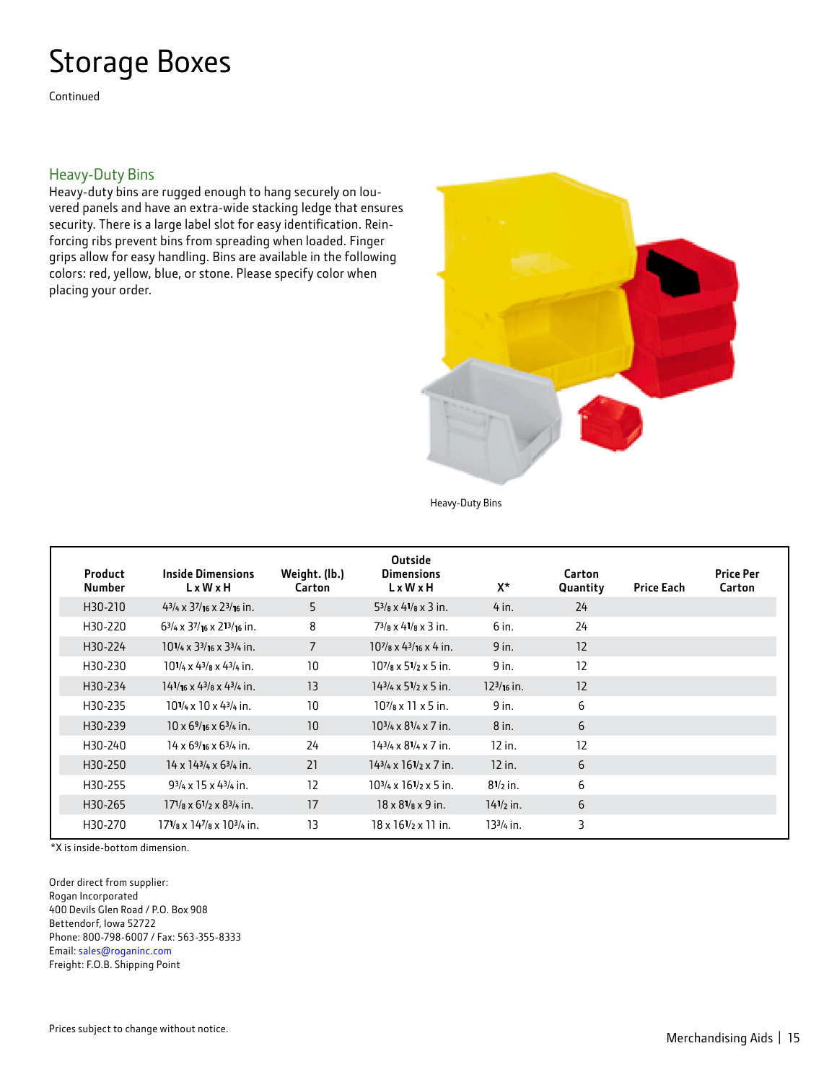# Storage Boxes

Continued

#### Heavy-Duty Bins

Heavy-duty bins are rugged enough to hang securely on louvered panels and have an extra-wide stacking ledge that ensures security. There is a large label slot for easy identification. Reinforcing ribs prevent bins from spreading when loaded. Finger grips allow for easy handling. Bins are available in the following colors: red, yellow, blue, or stone. Please specify color when placing your order.



Heavy-Duty Bins

| <b>Product</b><br><b>Number</b> | <b>Inside Dimensions</b><br>L x W x H                         | Weight. (lb.)<br>Carton | <b>Outside</b><br><b>Dimensions</b><br>$L \times W \times H$ | X*                  | Carton<br>Quantity | <b>Price Each</b> | <b>Price Per</b><br>Carton |
|---------------------------------|---------------------------------------------------------------|-------------------------|--------------------------------------------------------------|---------------------|--------------------|-------------------|----------------------------|
| H30-210                         | $43/4 \times 37/16 \times 23/16$ in.                          | 5                       | $5\frac{3}{a} \times 4\frac{1}{a} \times 3$ in.              | $4$ in.             | 24                 |                   |                            |
| H30-220                         | $6\frac{3}{4} \times \frac{37}{16} \times \frac{213}{16}$ in. | 8                       | $7^{3}/a \times 4^{1}/a \times 3$ in.                        | 6 in.               | 24                 |                   |                            |
| H30-224                         | $10^{1}/4 \times 3^{3}/16 \times 3^{3}/4$ in.                 | 7                       | $10^{7}/a \times 4^{3}/a \times 4$ in.                       | 9 in.               | 12                 |                   |                            |
| H30-230                         | $10^{1}/4 \times 4^{3}/8 \times 4^{3}/4$ in.                  | 10                      | $10^{7}/a \times 5^{1}/2 \times 5$ in.                       | 9 in.               | 12                 |                   |                            |
| H30-234                         | $14^{1}/16 \times 4^{3}/8 \times 4^{3}/4$ in.                 | 13                      | $143/4 \times 51/2 \times 5$ in.                             | $123/16$ in.        | 12                 |                   |                            |
| H30-235                         | $10^{1}/4 \times 10 \times 4^{3}/4$ in.                       | 10                      | $10^{7}/a \times 11 \times 5$ in.                            | 9 in.               | 6                  |                   |                            |
| H30-239                         | $10 \times 6\frac{9}{16} \times 6\frac{3}{4}$ in.             | 10                      | $10^{3}/4 \times 8^{1}/4 \times 7$ in.                       | 8 in.               | 6                  |                   |                            |
| H30-240                         | $14 \times 6\frac{9}{16} \times 6\frac{3}{4}$ in.             | 24                      | $143/4 \times 81/4 \times 7$ in.                             | $12$ in.            | 12                 |                   |                            |
| H30-250                         | $14 \times 14^{3}/4 \times 6^{3}/4$ in.                       | 21                      | $143/4 \times 161/2 \times 7$ in.                            | $12$ in.            | 6                  |                   |                            |
| H30-255                         | $9^{3}/4 \times 15 \times 4^{3}/4$ in.                        | 12                      | $10^{3}/4 \times 16^{1}/2 \times 5$ in.                      | $8^{1/2}$ in.       | 6                  |                   |                            |
| H30-265                         | $17\frac{1}{8} \times 6\frac{1}{2} \times 8\frac{3}{4}$ in.   | 17                      | $18 \times 8^{1}/\text{s} \times 9$ in.                      | $14\frac{1}{2}$ in. | 6                  |                   |                            |
| H30-270                         | $17^{1}/a \times 14^{7}/a \times 10^{3}/a$ in.                | 13                      | $18 \times 16^{1}/2 \times 11$ in.                           | 133/4 in.           | 3                  |                   |                            |

\*X is inside-bottom dimension.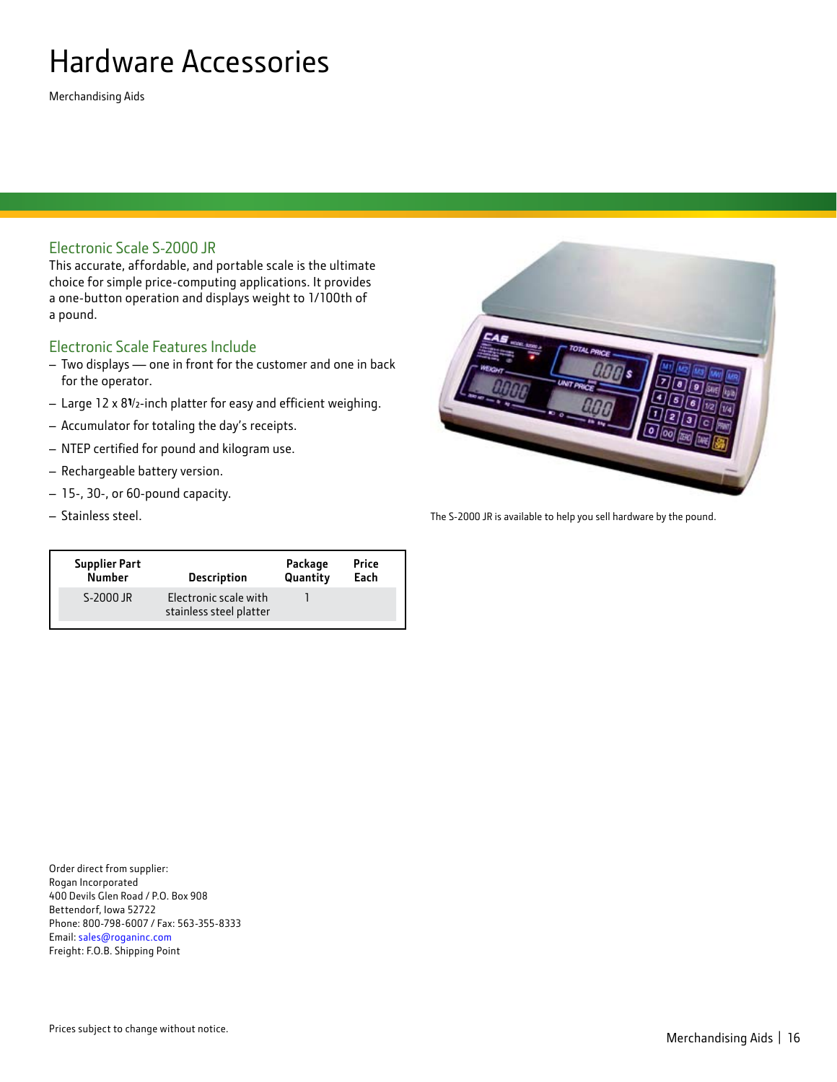# Hardware Accessories

Merchandising Aids

### Electronic Scale S-2000 JR

This accurate, affordable, and portable scale is the ultimate choice for simple price-computing applications. It provides a one-button operation and displays weight to 1/100th of a pound.

### Electronic Scale Features Include

- Two displays one in front for the customer and one in back for the operator.
- Large 12 x 8<sup>1</sup>/2-inch platter for easy and efficient weighing.
- Accumulator for totaling the day's receipts.
- NTEP certified for pound and kilogram use.
- Rechargeable battery version.
- 15-, 30-, or 60-pound capacity.
- 

| <b>Supplier Part</b> | <b>Description</b>                               | Package  | Price |
|----------------------|--------------------------------------------------|----------|-------|
| <b>Number</b>        |                                                  | Quantity | Each  |
| S-2000 JR            | Electronic scale with<br>stainless steel platter |          |       |

– Stainless steel. The S-2000 JR is available to help you sell hardware by the pound.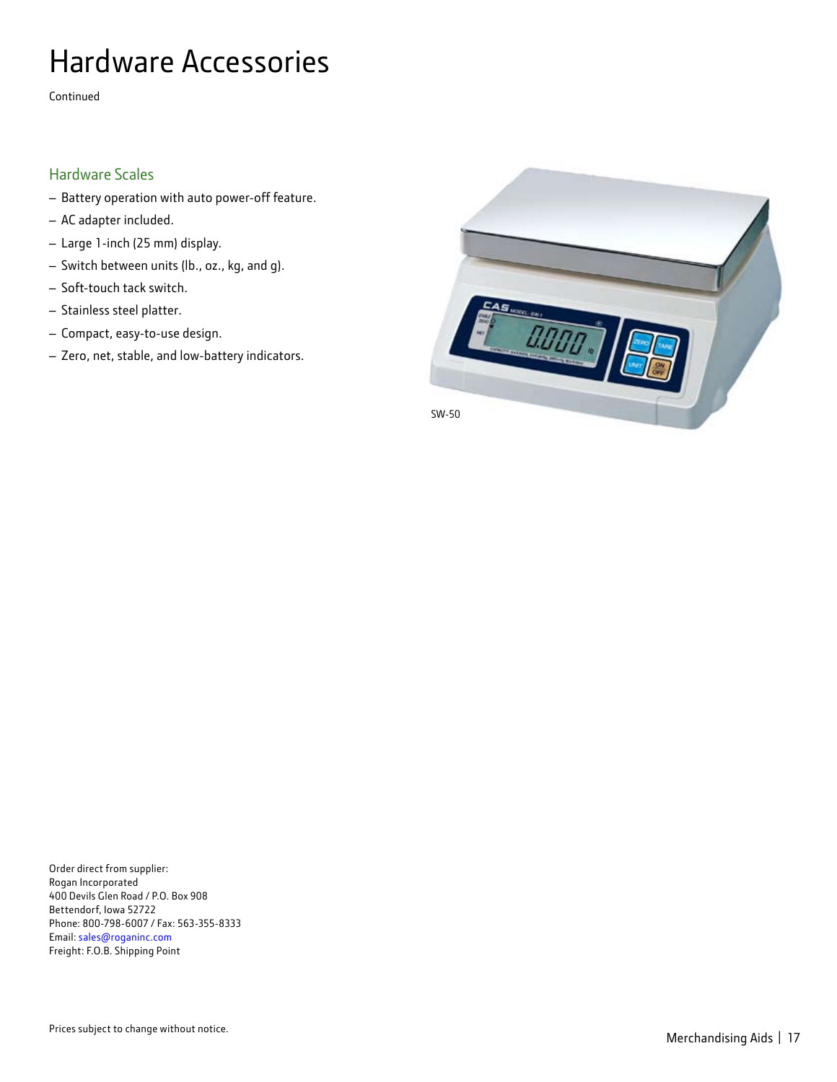# Hardware Accessories

Continued

### Hardware Scales

- Battery operation with auto power-off feature.
- AC adapter included.
- Large 1-inch (25 mm) display.
- Switch between units (lb., oz., kg, and g).
- Soft-touch tack switch.
- Stainless steel platter.
- Compact, easy-to-use design.
- Zero, net, stable, and low-battery indicators.